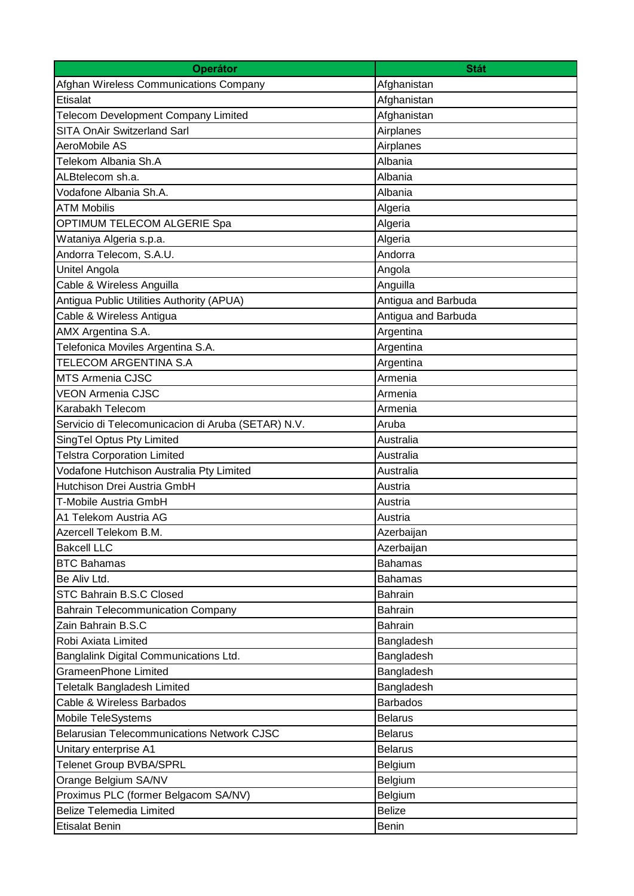| <b>Operátor</b>                                    | <b>Stát</b>         |
|----------------------------------------------------|---------------------|
| Afghan Wireless Communications Company             | Afghanistan         |
| Etisalat                                           | Afghanistan         |
| Telecom Development Company Limited                | Afghanistan         |
| <b>SITA OnAir Switzerland Sarl</b>                 | Airplanes           |
| AeroMobile AS                                      | Airplanes           |
| Telekom Albania Sh.A                               | Albania             |
| ALBtelecom sh.a.                                   | Albania             |
| Vodafone Albania Sh.A.                             | Albania             |
| <b>ATM Mobilis</b>                                 | Algeria             |
| OPTIMUM TELECOM ALGERIE Spa                        | Algeria             |
| Wataniya Algeria s.p.a.                            | Algeria             |
| Andorra Telecom, S.A.U.                            | Andorra             |
| Unitel Angola                                      | Angola              |
| Cable & Wireless Anguilla                          | Anguilla            |
| Antigua Public Utilities Authority (APUA)          | Antigua and Barbuda |
| Cable & Wireless Antigua                           | Antigua and Barbuda |
| AMX Argentina S.A.                                 | Argentina           |
| Telefonica Moviles Argentina S.A.                  | Argentina           |
| TELECOM ARGENTINA S.A                              | Argentina           |
| <b>MTS Armenia CJSC</b>                            | Armenia             |
| <b>VEON Armenia CJSC</b>                           | Armenia             |
| Karabakh Telecom                                   | Armenia             |
| Servicio di Telecomunicacion di Aruba (SETAR) N.V. | Aruba               |
| SingTel Optus Pty Limited                          | Australia           |
| <b>Telstra Corporation Limited</b>                 | Australia           |
| Vodafone Hutchison Australia Pty Limited           | Australia           |
| Hutchison Drei Austria GmbH                        | Austria             |
| T-Mobile Austria GmbH                              | Austria             |
| A1 Telekom Austria AG                              | Austria             |
| Azercell Telekom B.M.                              | Azerbaijan          |
| <b>Bakcell LLC</b>                                 | Azerbaijan          |
| <b>BTC Bahamas</b>                                 | <b>Bahamas</b>      |
| Be Aliv Ltd.                                       | <b>Bahamas</b>      |
| STC Bahrain B.S.C Closed                           | <b>Bahrain</b>      |
| <b>Bahrain Telecommunication Company</b>           | <b>Bahrain</b>      |
| Zain Bahrain B.S.C                                 | <b>Bahrain</b>      |
| Robi Axiata Limited                                | Bangladesh          |
| Banglalink Digital Communications Ltd.             | Bangladesh          |
| <b>GrameenPhone Limited</b>                        | Bangladesh          |
| Teletalk Bangladesh Limited                        | Bangladesh          |
| Cable & Wireless Barbados                          | <b>Barbados</b>     |
| Mobile TeleSystems                                 | <b>Belarus</b>      |
| <b>Belarusian Telecommunications Network CJSC</b>  | <b>Belarus</b>      |
| Unitary enterprise A1                              | <b>Belarus</b>      |
| <b>Telenet Group BVBA/SPRL</b>                     | Belgium             |
| Orange Belgium SA/NV                               | Belgium             |
| Proximus PLC (former Belgacom SA/NV)               | Belgium             |
| <b>Belize Telemedia Limited</b>                    | <b>Belize</b>       |
| <b>Etisalat Benin</b>                              | <b>Benin</b>        |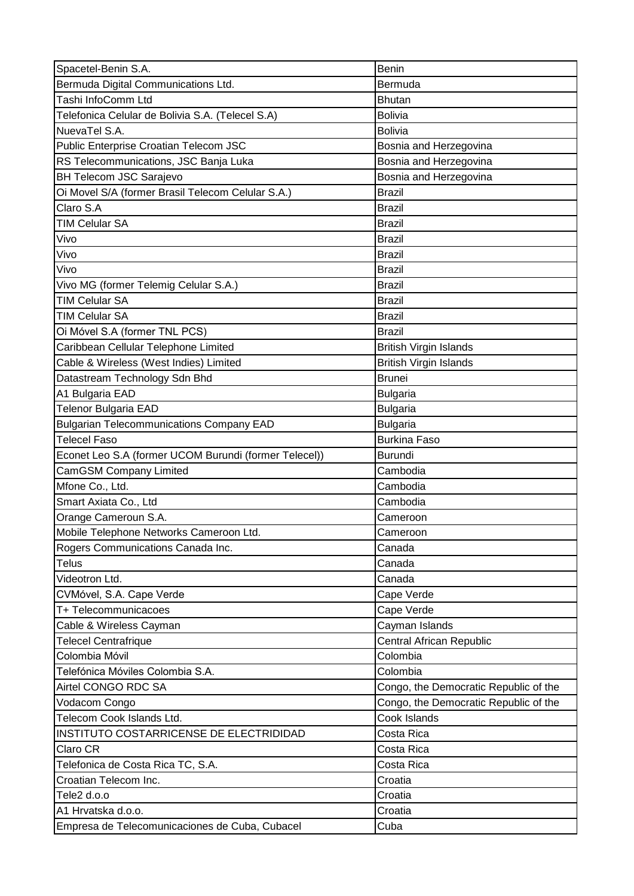| Spacetel-Benin S.A.                                   | Benin                                 |
|-------------------------------------------------------|---------------------------------------|
| Bermuda Digital Communications Ltd.                   | Bermuda                               |
| Tashi InfoComm Ltd                                    | <b>Bhutan</b>                         |
| Telefonica Celular de Bolivia S.A. (Telecel S.A)      | <b>Bolivia</b>                        |
| NuevaTel S.A.                                         | <b>Bolivia</b>                        |
| Public Enterprise Croatian Telecom JSC                | Bosnia and Herzegovina                |
| RS Telecommunications, JSC Banja Luka                 | Bosnia and Herzegovina                |
| <b>BH Telecom JSC Sarajevo</b>                        | Bosnia and Herzegovina                |
| Oi Movel S/A (former Brasil Telecom Celular S.A.)     | <b>Brazil</b>                         |
| Claro S.A                                             | <b>Brazil</b>                         |
| <b>TIM Celular SA</b>                                 | <b>Brazil</b>                         |
| Vivo                                                  | <b>Brazil</b>                         |
| Vivo                                                  | <b>Brazil</b>                         |
| Vivo                                                  | <b>Brazil</b>                         |
| Vivo MG (former Telemig Celular S.A.)                 | <b>Brazil</b>                         |
| <b>TIM Celular SA</b>                                 | <b>Brazil</b>                         |
| <b>TIM Celular SA</b>                                 | <b>Brazil</b>                         |
| Oi Móvel S.A (former TNL PCS)                         | <b>Brazil</b>                         |
| Caribbean Cellular Telephone Limited                  | <b>British Virgin Islands</b>         |
| Cable & Wireless (West Indies) Limited                | <b>British Virgin Islands</b>         |
| Datastream Technology Sdn Bhd                         | <b>Brunei</b>                         |
| A1 Bulgaria EAD                                       | <b>Bulgaria</b>                       |
| <b>Telenor Bulgaria EAD</b>                           | <b>Bulgaria</b>                       |
| <b>Bulgarian Telecommunications Company EAD</b>       | <b>Bulgaria</b>                       |
| <b>Telecel Faso</b>                                   | <b>Burkina Faso</b>                   |
|                                                       |                                       |
| Econet Leo S.A (former UCOM Burundi (former Telecel)) | <b>Burundi</b>                        |
| <b>CamGSM Company Limited</b>                         | Cambodia                              |
| Mfone Co., Ltd.                                       | Cambodia                              |
| Smart Axiata Co., Ltd                                 | Cambodia                              |
| Orange Cameroun S.A.                                  | Cameroon                              |
| Mobile Telephone Networks Cameroon Ltd.               | Cameroon                              |
| Rogers Communications Canada Inc.                     | Canada                                |
| <b>Telus</b>                                          | Canada                                |
| Videotron Ltd.                                        | Canada                                |
| CVMóvel, S.A. Cape Verde                              | Cape Verde                            |
| T+ Telecommunicacoes                                  | Cape Verde                            |
| Cable & Wireless Cayman                               | Cayman Islands                        |
| <b>Telecel Centrafrique</b>                           | Central African Republic              |
| Colombia Móvil                                        | Colombia                              |
| Telefónica Móviles Colombia S.A.                      | Colombia                              |
| Airtel CONGO RDC SA                                   | Congo, the Democratic Republic of the |
| Vodacom Congo                                         | Congo, the Democratic Republic of the |
| Telecom Cook Islands Ltd.                             | Cook Islands                          |
| INSTITUTO COSTARRICENSE DE ELECTRIDIDAD               | Costa Rica                            |
| Claro CR                                              | Costa Rica                            |
| Telefonica de Costa Rica TC, S.A.                     | Costa Rica                            |
| Croatian Telecom Inc.                                 | Croatia                               |
| Tele2 d.o.o                                           | Croatia                               |
| A1 Hrvatska d.o.o.                                    | Croatia                               |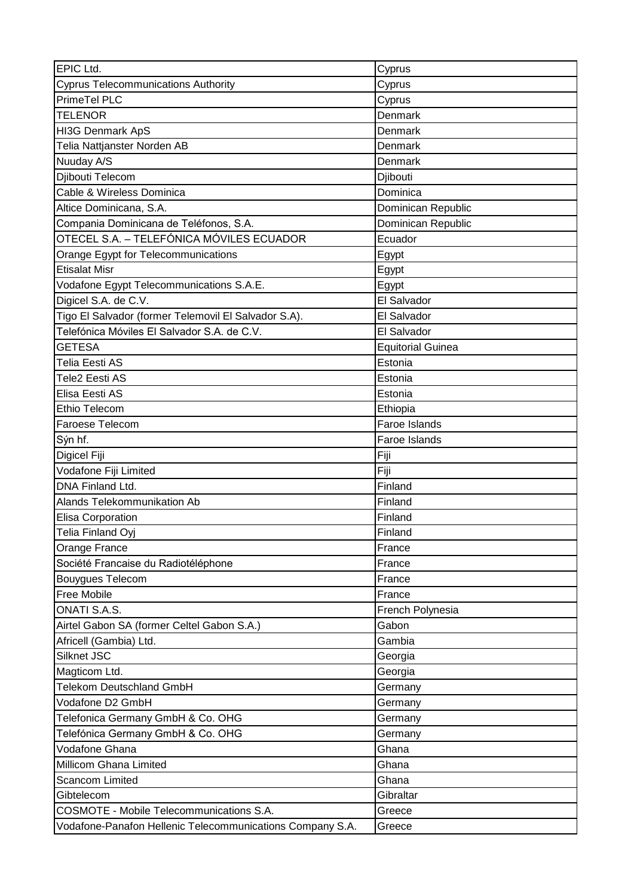| EPIC Ltd.                                            | Cyprus                   |
|------------------------------------------------------|--------------------------|
| <b>Cyprus Telecommunications Authority</b>           | Cyprus                   |
| PrimeTel PLC                                         | Cyprus                   |
| <b>TELENOR</b>                                       | Denmark                  |
| HI3G Denmark ApS                                     | Denmark                  |
| Telia Nattjanster Norden AB                          | Denmark                  |
| Nuuday A/S                                           | Denmark                  |
| Djibouti Telecom                                     | Djibouti                 |
| Cable & Wireless Dominica                            | Dominica                 |
| Altice Dominicana, S.A.                              | Dominican Republic       |
| Compania Dominicana de Teléfonos, S.A.               | Dominican Republic       |
| OTECEL S.A. – TELEFÓNICA MÓVILES ECUADOR             | Ecuador                  |
| Orange Egypt for Telecommunications                  | Egypt                    |
| Etisalat Misr                                        | Egypt                    |
| Vodafone Egypt Telecommunications S.A.E.             | Egypt                    |
| Digicel S.A. de C.V.                                 | El Salvador              |
| Tigo El Salvador (former Telemovil El Salvador S.A). | El Salvador              |
| Telefónica Móviles El Salvador S.A. de C.V.          | El Salvador              |
| <b>GETESA</b>                                        | <b>Equitorial Guinea</b> |
| Telia Eesti AS                                       | Estonia                  |
| Tele2 Eesti AS                                       | Estonia                  |
| Elisa Eesti AS                                       | Estonia                  |
| <b>Ethio Telecom</b>                                 | Ethiopia                 |
| Faroese Telecom                                      | Faroe Islands            |
| Sýn hf.                                              | Faroe Islands            |
|                                                      |                          |
| Digicel Fiji                                         | Fiji                     |
| Vodafone Fiji Limited                                | Fiji                     |
| DNA Finland Ltd.                                     | Finland                  |
| <b>Alands Telekommunikation Ab</b>                   | Finland                  |
| Elisa Corporation                                    | Finland                  |
| Telia Finland Oyj                                    | Finland                  |
| Orange France                                        | France                   |
| Société Francaise du Radiotéléphone                  | France                   |
| Bouygues Telecom                                     | France                   |
| Free Mobile                                          | France                   |
| ONATI S.A.S.                                         | French Polynesia         |
| Airtel Gabon SA (former Celtel Gabon S.A.)           | Gabon                    |
| Africell (Gambia) Ltd.                               | Gambia                   |
| Silknet JSC                                          | Georgia                  |
| Magticom Ltd.                                        | Georgia                  |
| Telekom Deutschland GmbH                             | Germany                  |
| Vodafone D2 GmbH                                     | Germany                  |
| Telefonica Germany GmbH & Co. OHG                    | Germany                  |
| Telefónica Germany GmbH & Co. OHG                    | Germany                  |
| Vodafone Ghana                                       | Ghana                    |
| Millicom Ghana Limited                               | Ghana                    |
| <b>Scancom Limited</b>                               | Ghana                    |
| Gibtelecom                                           | Gibraltar                |
| <b>COSMOTE - Mobile Telecommunications S.A.</b>      | Greece                   |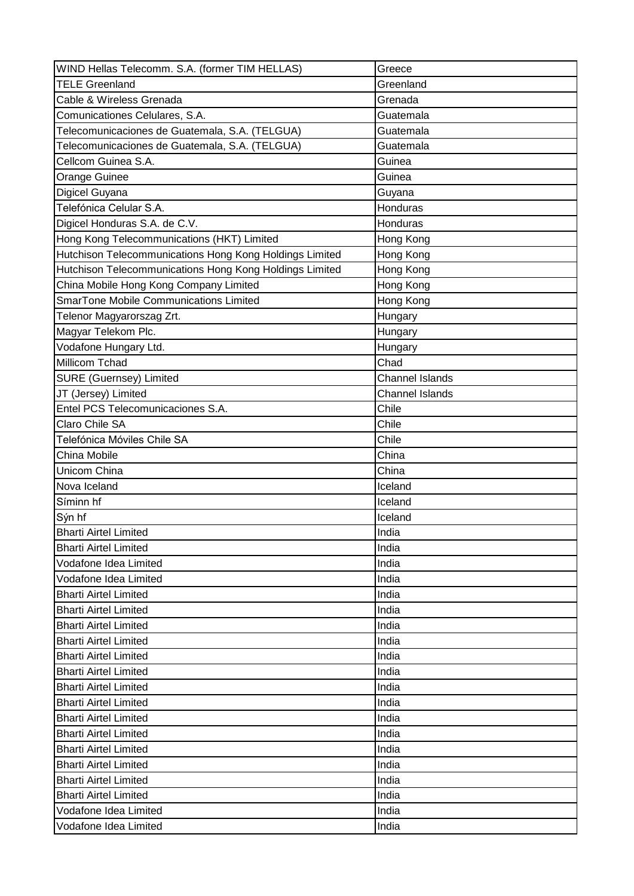| WIND Hellas Telecomm. S.A. (former TIM HELLAS)          | Greece                 |
|---------------------------------------------------------|------------------------|
| <b>TELE Greenland</b>                                   | Greenland              |
| Cable & Wireless Grenada                                | Grenada                |
| Comunicationes Celulares, S.A.                          | Guatemala              |
| Telecomunicaciones de Guatemala, S.A. (TELGUA)          | Guatemala              |
| Telecomunicaciones de Guatemala, S.A. (TELGUA)          | Guatemala              |
| Cellcom Guinea S.A.                                     | Guinea                 |
| Orange Guinee                                           | Guinea                 |
| Digicel Guyana                                          | Guyana                 |
| Telefónica Celular S.A.                                 | Honduras               |
| Digicel Honduras S.A. de C.V.                           | Honduras               |
| Hong Kong Telecommunications (HKT) Limited              | Hong Kong              |
| Hutchison Telecommunications Hong Kong Holdings Limited | Hong Kong              |
| Hutchison Telecommunications Hong Kong Holdings Limited | Hong Kong              |
| China Mobile Hong Kong Company Limited                  | Hong Kong              |
| <b>SmarTone Mobile Communications Limited</b>           | Hong Kong              |
| Telenor Magyarorszag Zrt.                               | Hungary                |
| Magyar Telekom Plc.                                     | Hungary                |
| Vodafone Hungary Ltd.                                   | Hungary                |
| Millicom Tchad                                          | Chad                   |
| <b>SURE (Guernsey) Limited</b>                          | <b>Channel Islands</b> |
| JT (Jersey) Limited                                     | <b>Channel Islands</b> |
| Entel PCS Telecomunicaciones S.A.                       | Chile                  |
| Claro Chile SA                                          | Chile                  |
| Telefónica Móviles Chile SA                             | Chile                  |
|                                                         |                        |
| China Mobile                                            | China                  |
| Unicom China                                            | China                  |
| Nova Iceland                                            | Iceland                |
| Síminn hf                                               | Iceland                |
| Sýn hf                                                  | Iceland                |
| <b>Bharti Airtel Limited</b>                            | India                  |
| <b>Bharti Airtel Limited</b>                            | India                  |
| Vodafone Idea Limited                                   | India                  |
| Vodafone Idea Limited                                   | India                  |
| <b>Bharti Airtel Limited</b>                            | India                  |
| <b>Bharti Airtel Limited</b>                            | India                  |
| <b>Bharti Airtel Limited</b>                            | India                  |
| <b>Bharti Airtel Limited</b>                            | India                  |
| <b>Bharti Airtel Limited</b>                            | India                  |
| <b>Bharti Airtel Limited</b>                            | India                  |
| <b>Bharti Airtel Limited</b>                            | India                  |
| <b>Bharti Airtel Limited</b>                            | India                  |
| <b>Bharti Airtel Limited</b>                            | India                  |
| <b>Bharti Airtel Limited</b>                            | India                  |
| <b>Bharti Airtel Limited</b>                            | India                  |
| <b>Bharti Airtel Limited</b>                            | India                  |
| <b>Bharti Airtel Limited</b>                            | India                  |
| <b>Bharti Airtel Limited</b>                            | India                  |
| Vodafone Idea Limited                                   | India                  |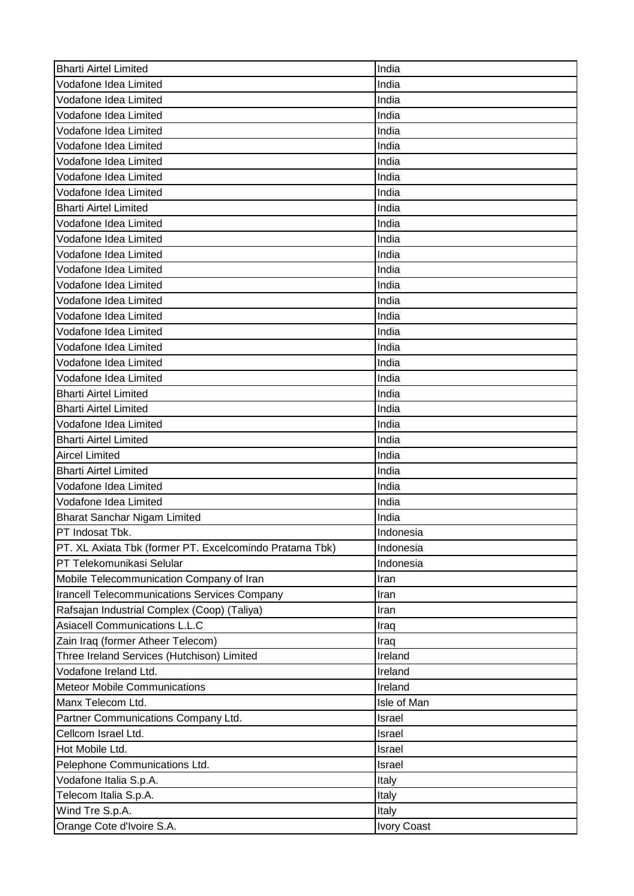| <b>Bharti Airtel Limited</b>                            | India       |
|---------------------------------------------------------|-------------|
| Vodafone Idea Limited                                   | India       |
| Vodafone Idea Limited                                   | India       |
| Vodafone Idea Limited                                   | India       |
| Vodafone Idea Limited                                   | India       |
| Vodafone Idea Limited                                   | India       |
| Vodafone Idea Limited                                   | India       |
| Vodafone Idea Limited                                   | India       |
| Vodafone Idea Limited                                   | India       |
| <b>Bharti Airtel Limited</b>                            | India       |
| Vodafone Idea Limited                                   | India       |
| Vodafone Idea Limited                                   | India       |
| Vodafone Idea Limited                                   | India       |
| Vodafone Idea Limited                                   | India       |
| Vodafone Idea Limited                                   | India       |
| Vodafone Idea Limited                                   | India       |
| Vodafone Idea Limited                                   | India       |
| Vodafone Idea Limited                                   | India       |
| Vodafone Idea Limited                                   | India       |
| Vodafone Idea Limited                                   | India       |
| Vodafone Idea Limited                                   | India       |
| <b>Bharti Airtel Limited</b>                            | India       |
| <b>Bharti Airtel Limited</b>                            | India       |
| Vodafone Idea Limited                                   | India       |
| <b>Bharti Airtel Limited</b>                            | India       |
| <b>Aircel Limited</b>                                   | India       |
| <b>Bharti Airtel Limited</b>                            | India       |
| Vodafone Idea Limited                                   | India       |
| Vodafone Idea Limited                                   | India       |
| <b>Bharat Sanchar Nigam Limited</b>                     | India       |
|                                                         | IIndonesia  |
| PT Indosat Tbk.                                         |             |
| PT. XL Axiata Tbk (former PT. Excelcomindo Pratama Tbk) | Indonesia   |
| PT Telekomunikasi Selular                               | Indonesia   |
| Mobile Telecommunication Company of Iran                | Iran        |
| <b>Irancell Telecommunications Services Company</b>     | Iran        |
| Rafsajan Industrial Complex (Coop) (Taliya)             | Iran        |
| <b>Asiacell Communications L.L.C</b>                    | Iraq        |
| Zain Iraq (former Atheer Telecom)                       | Iraq        |
| Three Ireland Services (Hutchison) Limited              | Ireland     |
| Vodafone Ireland Ltd.                                   | Ireland     |
| <b>Meteor Mobile Communications</b>                     | Ireland     |
| Manx Telecom Ltd.                                       | Isle of Man |
| Partner Communications Company Ltd.                     | Israel      |
| Cellcom Israel Ltd.                                     | Israel      |
| Hot Mobile Ltd.                                         | Israel      |
| Pelephone Communications Ltd.                           | Israel      |
| Vodafone Italia S.p.A.                                  | Italy       |
| Telecom Italia S.p.A.                                   | Italy       |
| Wind Tre S.p.A.                                         | Italy       |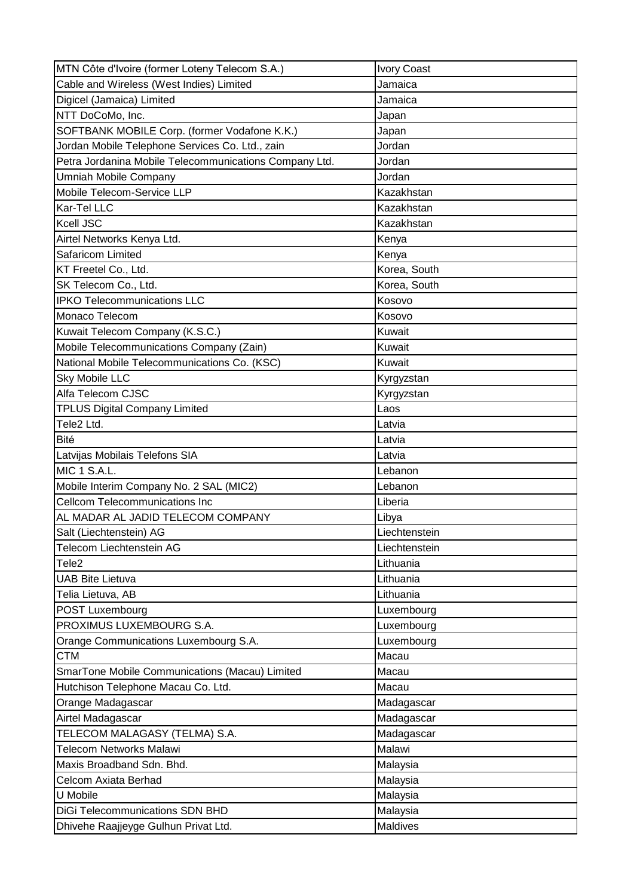| MTN Côte d'Ivoire (former Loteny Telecom S.A.)         | <b>Ivory Coast</b> |
|--------------------------------------------------------|--------------------|
| Cable and Wireless (West Indies) Limited               | Jamaica            |
| Digicel (Jamaica) Limited                              | Jamaica            |
| NTT DoCoMo, Inc.                                       | Japan              |
| SOFTBANK MOBILE Corp. (former Vodafone K.K.)           | Japan              |
| Jordan Mobile Telephone Services Co. Ltd., zain        | Jordan             |
| Petra Jordanina Mobile Telecommunications Company Ltd. | Jordan             |
| Umniah Mobile Company                                  | Jordan             |
| Mobile Telecom-Service LLP                             | Kazakhstan         |
| Kar-Tel LLC                                            | Kazakhstan         |
| Kcell JSC                                              | Kazakhstan         |
| Airtel Networks Kenya Ltd.                             | Kenya              |
| Safaricom Limited                                      | Kenya              |
| KT Freetel Co., Ltd.                                   | Korea, South       |
| SK Telecom Co., Ltd.                                   | Korea, South       |
| <b>IPKO Telecommunications LLC</b>                     | Kosovo             |
| Monaco Telecom                                         | Kosovo             |
| Kuwait Telecom Company (K.S.C.)                        | Kuwait             |
| Mobile Telecommunications Company (Zain)               | Kuwait             |
| National Mobile Telecommunications Co. (KSC)           | Kuwait             |
| Sky Mobile LLC                                         | Kyrgyzstan         |
| Alfa Telecom CJSC                                      | Kyrgyzstan         |
| <b>TPLUS Digital Company Limited</b>                   | Laos               |
| Tele2 Ltd.                                             | Latvia             |
| <b>Bité</b>                                            | Latvia             |
| Latvijas Mobilais Telefons SIA                         | Latvia             |
| <b>MIC 1 S.A.L.</b>                                    | Lebanon            |
| Mobile Interim Company No. 2 SAL (MIC2)                | Lebanon            |
| <b>Cellcom Telecommunications Inc</b>                  | Liberia            |
| AL MADAR AL JADID TELECOM COMPANY                      | Libya              |
| Salt (Liechtenstein) AG                                | Liechtenstein      |
| Telecom Liechtenstein AG                               | Liechtenstein      |
| Tele <sub>2</sub>                                      | Lithuania          |
| <b>UAB Bite Lietuva</b>                                | Lithuania          |
| Telia Lietuva, AB                                      | Lithuania          |
| POST Luxembourg                                        | Luxembourg         |
| PROXIMUS LUXEMBOURG S.A.                               | Luxembourg         |
| Orange Communications Luxembourg S.A.                  | Luxembourg         |
| <b>CTM</b>                                             | Macau              |
| SmarTone Mobile Communications (Macau) Limited         | Macau              |
| Hutchison Telephone Macau Co. Ltd.                     | Macau              |
| Orange Madagascar                                      | Madagascar         |
| Airtel Madagascar                                      | Madagascar         |
| TELECOM MALAGASY (TELMA) S.A.                          | Madagascar         |
| <b>Telecom Networks Malawi</b>                         | Malawi             |
| Maxis Broadband Sdn. Bhd.                              | Malaysia           |
| Celcom Axiata Berhad                                   | Malaysia           |
| U Mobile                                               | Malaysia           |
| <b>DiGi Telecommunications SDN BHD</b>                 | Malaysia           |
|                                                        |                    |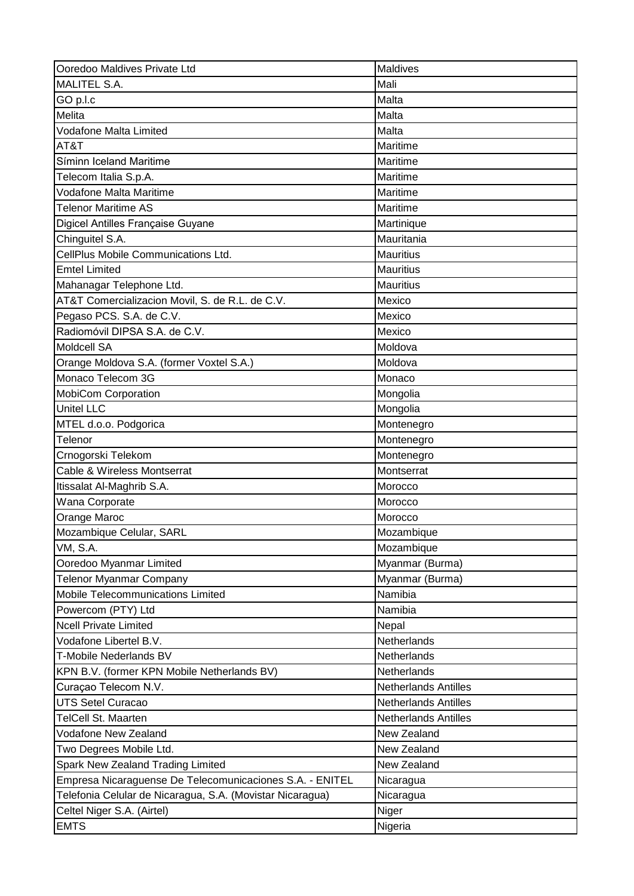| Ooredoo Maldives Private Ltd                              | Maldives                    |
|-----------------------------------------------------------|-----------------------------|
| <b>MALITEL S.A.</b>                                       | Mali                        |
| GO p.l.c                                                  | Malta                       |
| Melita                                                    | Malta                       |
| Vodafone Malta Limited                                    | Malta                       |
| AT&T                                                      | Maritime                    |
| Síminn Iceland Maritime                                   | Maritime                    |
| Telecom Italia S.p.A.                                     | Maritime                    |
| Vodafone Malta Maritime                                   | Maritime                    |
| <b>Telenor Maritime AS</b>                                | Maritime                    |
| Digicel Antilles Française Guyane                         | Martinique                  |
| Chinguitel S.A.                                           | Mauritania                  |
| CellPlus Mobile Communications Ltd.                       | <b>Mauritius</b>            |
| <b>Emtel Limited</b>                                      | <b>Mauritius</b>            |
| Mahanagar Telephone Ltd.                                  | <b>Mauritius</b>            |
| AT&T Comercializacion Movil, S. de R.L. de C.V.           | Mexico                      |
| Pegaso PCS. S.A. de C.V.                                  | Mexico                      |
| Radiomóvil DIPSA S.A. de C.V.                             | Mexico                      |
| <b>Moldcell SA</b>                                        | Moldova                     |
| Orange Moldova S.A. (former Voxtel S.A.)                  | Moldova                     |
| Monaco Telecom 3G                                         | Monaco                      |
| <b>MobiCom Corporation</b>                                | Mongolia                    |
| <b>Unitel LLC</b>                                         | Mongolia                    |
| MTEL d.o.o. Podgorica                                     | Montenegro                  |
| Telenor                                                   | Montenegro                  |
| Crnogorski Telekom                                        | Montenegro                  |
| Cable & Wireless Montserrat                               | Montserrat                  |
| Itissalat Al-Maghrib S.A.                                 | Morocco                     |
| Wana Corporate                                            | Morocco                     |
| Orange Maroc                                              | Morocco                     |
| Mozambique Celular, SARL                                  | Mozambique                  |
| VM, S.A.                                                  | Mozambique                  |
| Ooredoo Myanmar Limited                                   | Myanmar (Burma)             |
| <b>Telenor Myanmar Company</b>                            | Myanmar (Burma)             |
| Mobile Telecommunications Limited                         | Namibia                     |
| Powercom (PTY) Ltd                                        | Namibia                     |
| <b>Ncell Private Limited</b>                              | Nepal                       |
| Vodafone Libertel B.V.                                    | Netherlands                 |
| T-Mobile Nederlands BV                                    | <b>Netherlands</b>          |
| KPN B.V. (former KPN Mobile Netherlands BV)               | Netherlands                 |
| Curaçao Telecom N.V.                                      | <b>Netherlands Antilles</b> |
| <b>UTS Setel Curacao</b>                                  | Netherlands Antilles        |
| <b>TelCell St. Maarten</b>                                | <b>Netherlands Antilles</b> |
| Vodafone New Zealand                                      | New Zealand                 |
| Two Degrees Mobile Ltd.                                   | New Zealand                 |
| Spark New Zealand Trading Limited                         | New Zealand                 |
| Empresa Nicaraguense De Telecomunicaciones S.A. - ENITEL  | Nicaragua                   |
| Telefonia Celular de Nicaragua, S.A. (Movistar Nicaragua) | Nicaragua                   |
| Celtel Niger S.A. (Airtel)                                | Niger                       |
| <b>EMTS</b>                                               | Nigeria                     |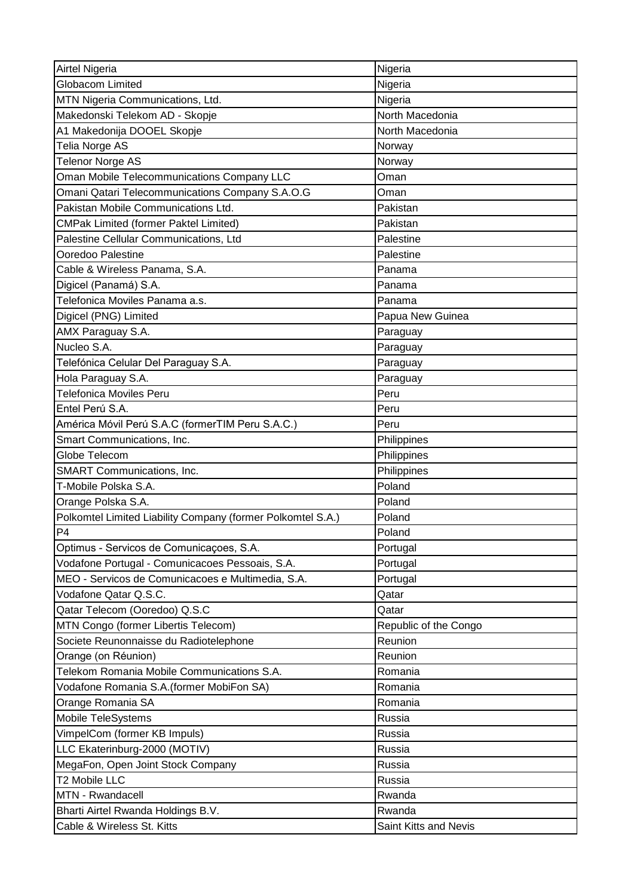| Airtel Nigeria                                              | Nigeria               |
|-------------------------------------------------------------|-----------------------|
| <b>Globacom Limited</b>                                     | Nigeria               |
| MTN Nigeria Communications, Ltd.                            | Nigeria               |
| Makedonski Telekom AD - Skopje                              | North Macedonia       |
| A1 Makedonija DOOEL Skopje                                  | North Macedonia       |
| Telia Norge AS                                              | Norway                |
| <b>Telenor Norge AS</b>                                     | Norway                |
| Oman Mobile Telecommunications Company LLC                  | Oman                  |
| Omani Qatari Telecommunications Company S.A.O.G             | Oman                  |
| Pakistan Mobile Communications Ltd.                         | Pakistan              |
| <b>CMPak Limited (former Paktel Limited)</b>                | Pakistan              |
| Palestine Cellular Communications, Ltd                      | Palestine             |
| Ooredoo Palestine                                           | Palestine             |
| Cable & Wireless Panama, S.A.                               | Panama                |
| Digicel (Panamá) S.A.                                       | Panama                |
| Telefonica Moviles Panama a.s.                              | Panama                |
| Digicel (PNG) Limited                                       | Papua New Guinea      |
| AMX Paraguay S.A.                                           | Paraguay              |
| Nucleo S.A.                                                 | Paraguay              |
| Telefónica Celular Del Paraguay S.A.                        | Paraguay              |
|                                                             |                       |
| Hola Paraguay S.A.<br><b>Telefonica Moviles Peru</b>        | Paraguay<br>Peru      |
| Entel Perú S.A.                                             |                       |
|                                                             | Peru                  |
| América Móvil Perú S.A.C (formerTIM Peru S.A.C.)            | Peru                  |
| Smart Communications, Inc.                                  | Philippines           |
|                                                             |                       |
| Globe Telecom                                               | Philippines           |
| SMART Communications, Inc.                                  | Philippines           |
| T-Mobile Polska S.A.                                        | Poland                |
| Orange Polska S.A.                                          | Poland                |
| Polkomtel Limited Liability Company (former Polkomtel S.A.) | Poland                |
| P <sub>4</sub>                                              | Poland                |
| Optimus - Servicos de Comunicações, S.A.                    | Portugal              |
| Vodafone Portugal - Comunicacoes Pessoais, S.A.             | Portugal              |
| MEO - Servicos de Comunicacoes e Multimedia, S.A.           | Portugal              |
| Vodafone Qatar Q.S.C.                                       | Qatar                 |
| Qatar Telecom (Ooredoo) Q.S.C                               | Qatar                 |
| MTN Congo (former Libertis Telecom)                         | Republic of the Congo |
| Societe Reunonnaisse du Radiotelephone                      | Reunion               |
| Orange (on Réunion)                                         | Reunion               |
| Telekom Romania Mobile Communications S.A.                  | Romania               |
| Vodafone Romania S.A.(former MobiFon SA)                    | Romania               |
| Orange Romania SA                                           | Romania               |
| Mobile TeleSystems                                          | Russia                |
| VimpelCom (former KB Impuls)                                | Russia                |
| LLC Ekaterinburg-2000 (MOTIV)                               | Russia                |
| MegaFon, Open Joint Stock Company                           | Russia                |
| T2 Mobile LLC                                               | Russia                |
| MTN - Rwandacell                                            | Rwanda                |
| Bharti Airtel Rwanda Holdings B.V.                          | Rwanda                |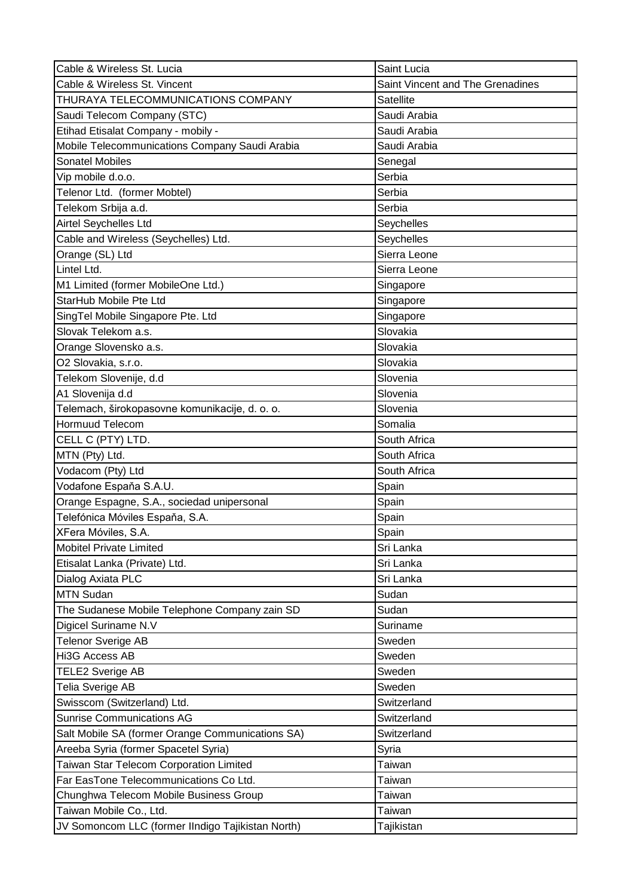| Cable & Wireless St. Lucia                        | Saint Lucia                      |
|---------------------------------------------------|----------------------------------|
| Cable & Wireless St. Vincent                      | Saint Vincent and The Grenadines |
| THURAYA TELECOMMUNICATIONS COMPANY                | <b>Satellite</b>                 |
| Saudi Telecom Company (STC)                       | Saudi Arabia                     |
| Etihad Etisalat Company - mobily -                | Saudi Arabia                     |
| Mobile Telecommunications Company Saudi Arabia    | Saudi Arabia                     |
| <b>Sonatel Mobiles</b>                            | Senegal                          |
| Vip mobile d.o.o.                                 | Serbia                           |
| Telenor Ltd. (former Mobtel)                      | Serbia                           |
| Telekom Srbija a.d.                               | Serbia                           |
| Airtel Seychelles Ltd                             | Seychelles                       |
| Cable and Wireless (Seychelles) Ltd.              | Seychelles                       |
| Orange (SL) Ltd                                   | Sierra Leone                     |
| Lintel Ltd.                                       | Sierra Leone                     |
| M1 Limited (former MobileOne Ltd.)                | Singapore                        |
| StarHub Mobile Pte Ltd                            | Singapore                        |
| SingTel Mobile Singapore Pte. Ltd                 | Singapore                        |
| Slovak Telekom a.s.                               | Slovakia                         |
| Orange Slovensko a.s.                             | Slovakia                         |
| O2 Slovakia, s.r.o.                               | Slovakia                         |
| Telekom Slovenije, d.d                            | Slovenia                         |
| A1 Slovenija d.d                                  | Slovenia                         |
| Telemach, širokopasovne komunikacije, d. o. o.    | Slovenia                         |
| <b>Hormuud Telecom</b>                            | Somalia                          |
| CELL C (PTY) LTD.                                 | South Africa                     |
| MTN (Pty) Ltd.                                    | South Africa                     |
| Vodacom (Pty) Ltd                                 | South Africa                     |
| Vodafone España S.A.U.                            | Spain                            |
| Orange Espagne, S.A., sociedad unipersonal        | Spain                            |
| Telefónica Móviles España, S.A.                   | Spain                            |
| XFera Móviles, S.A.                               | Spain                            |
| <b>Mobitel Private Limited</b>                    | Sri Lanka                        |
| Etisalat Lanka (Private) Ltd.                     | Sri Lanka                        |
| Dialog Axiata PLC                                 | Sri Lanka                        |
| <b>MTN Sudan</b>                                  | Sudan                            |
| The Sudanese Mobile Telephone Company zain SD     | Sudan                            |
| Digicel Suriname N.V                              | Suriname                         |
| <b>Telenor Sverige AB</b>                         | Sweden                           |
| Hi3G Access AB                                    | Sweden                           |
| <b>TELE2 Sverige AB</b>                           | Sweden                           |
| Telia Sverige AB                                  | Sweden                           |
| Swisscom (Switzerland) Ltd.                       | Switzerland                      |
| <b>Sunrise Communications AG</b>                  | Switzerland                      |
| Salt Mobile SA (former Orange Communications SA)  | Switzerland                      |
| Areeba Syria (former Spacetel Syria)              | Syria                            |
| Taiwan Star Telecom Corporation Limited           | Taiwan                           |
| Far EasTone Telecommunications Co Ltd.            | Taiwan                           |
| Chunghwa Telecom Mobile Business Group            | <b>Taiwan</b>                    |
| Taiwan Mobile Co., Ltd.                           | <b>Taiwan</b>                    |
| JV Somoncom LLC (former IIndigo Tajikistan North) | Tajikistan                       |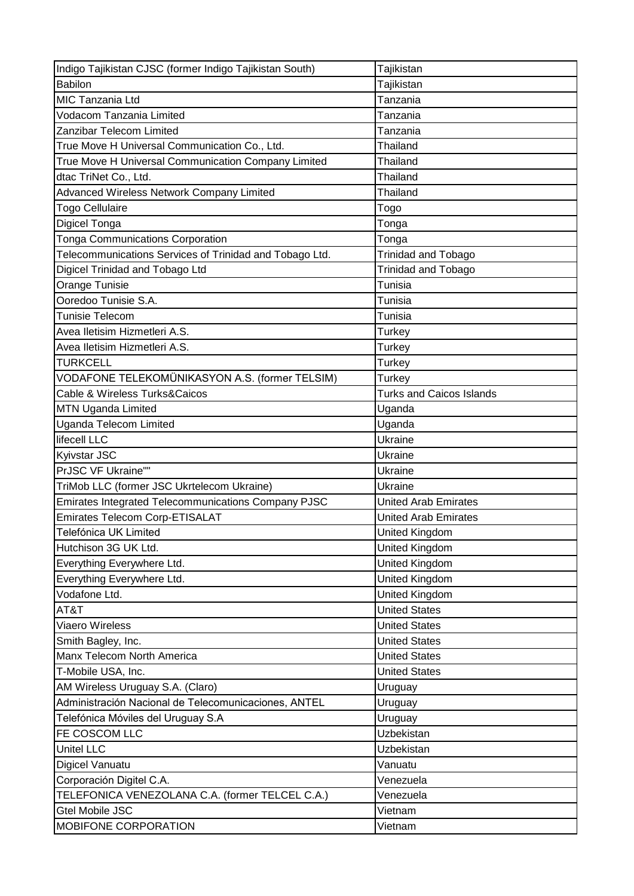| Indigo Tajikistan CJSC (former Indigo Tajikistan South) | Tajikistan                      |
|---------------------------------------------------------|---------------------------------|
| <b>Babilon</b>                                          | Tajikistan                      |
| MIC Tanzania Ltd                                        | Tanzania                        |
| Vodacom Tanzania Limited                                | Tanzania                        |
| Zanzibar Telecom Limited                                | Tanzania                        |
| True Move H Universal Communication Co., Ltd.           | Thailand                        |
| True Move H Universal Communication Company Limited     | Thailand                        |
| dtac TriNet Co., Ltd.                                   | Thailand                        |
| Advanced Wireless Network Company Limited               | Thailand                        |
| Togo Cellulaire                                         | Togo                            |
| Digicel Tonga                                           | Tonga                           |
| <b>Tonga Communications Corporation</b>                 | Tonga                           |
| Telecommunications Services of Trinidad and Tobago Ltd. | <b>Trinidad and Tobago</b>      |
| Digicel Trinidad and Tobago Ltd                         | <b>Trinidad and Tobago</b>      |
| Orange Tunisie                                          | Tunisia                         |
| Ooredoo Tunisie S.A.                                    | Tunisia                         |
| Tunisie Telecom                                         | Tunisia                         |
| Avea Iletisim Hizmetleri A.S.                           | <b>Turkey</b>                   |
| Avea Iletisim Hizmetleri A.S.                           | Turkey                          |
| <b>TURKCELL</b>                                         | Turkey                          |
| VODAFONE TELEKOMÜNIKASYON A.S. (former TELSIM)          | Turkey                          |
| Cable & Wireless Turks&Caicos                           | <b>Turks and Caicos Islands</b> |
| <b>MTN Uganda Limited</b>                               | Uganda                          |
| Uganda Telecom Limited                                  | Uganda                          |
| lifecell LLC                                            | Ukraine                         |
| Kyivstar JSC                                            | Ukraine                         |
| PrJSC VF Ukraine""                                      | Ukraine                         |
| TriMob LLC (former JSC Ukrtelecom Ukraine)              | Ukraine                         |
| Emirates Integrated Telecommunications Company PJSC     | United Arab Emirates            |
| Emirates Telecom Corp-ETISALAT                          | <b>United Arab Emirates</b>     |
| Telefónica UK Limited                                   | <b>United Kingdom</b>           |
| Hutchison 3G UK Ltd.                                    | United Kingdom                  |
| Everything Everywhere Ltd.                              | United Kingdom                  |
| Everything Everywhere Ltd.                              | United Kingdom                  |
| Vodafone Ltd.                                           | United Kingdom                  |
| AT&T                                                    | <b>United States</b>            |
| Viaero Wireless                                         | <b>United States</b>            |
| Smith Bagley, Inc.                                      | <b>United States</b>            |
| Manx Telecom North America                              | <b>United States</b>            |
| T-Mobile USA, Inc.                                      | <b>United States</b>            |
| AM Wireless Uruguay S.A. (Claro)                        | Uruguay                         |
| Administración Nacional de Telecomunicaciones, ANTEL    | Uruguay                         |
| Telefónica Móviles del Uruguay S.A                      | Uruguay                         |
| FE COSCOM LLC                                           | Uzbekistan                      |
| Unitel LLC                                              | Uzbekistan                      |
| Digicel Vanuatu                                         | Vanuatu                         |
| Corporación Digitel C.A.                                | Venezuela                       |
| TELEFONICA VENEZOLANA C.A. (former TELCEL C.A.)         | Venezuela                       |
|                                                         |                                 |
| Gtel Mobile JSC                                         | Vietnam                         |